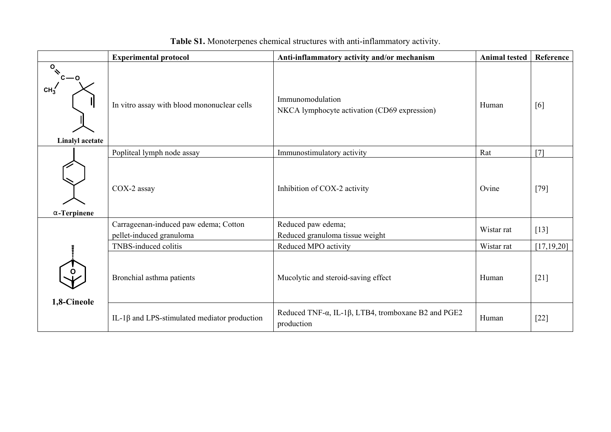|                                                    | <b>Experimental protocol</b>                                      | Anti-inflammatory activity and/or mechanism                      | <b>Animal tested</b> | Reference    |
|----------------------------------------------------|-------------------------------------------------------------------|------------------------------------------------------------------|----------------------|--------------|
| $\sigma$<br>$\int c - o$<br><b>Linalyl</b> acetate | In vitro assay with blood mononuclear cells                       | Immunomodulation<br>NKCA lymphocyte activation (CD69 expression) | Human                | [6]          |
|                                                    | Popliteal lymph node assay                                        | Immunostimulatory activity                                       | Rat                  | [7]          |
| $\alpha$ -Terpinene                                | COX-2 assay                                                       | Inhibition of COX-2 activity                                     | Ovine                | $[79]$       |
|                                                    | Carrageenan-induced paw edema; Cotton<br>pellet-induced granuloma | Reduced paw edema;<br>Reduced granuloma tissue weight            | Wistar rat           | $[13]$       |
| $\ddot{}}$                                         | TNBS-induced colitis                                              | Reduced MPO activity                                             | Wistar rat           | [17, 19, 20] |
| 1,8-Cineole                                        | Bronchial asthma patients                                         | Mucolytic and steroid-saving effect                              | Human                | $[21]$       |
|                                                    | IL-1 $\beta$ and LPS-stimulated mediator production               | Reduced TNF-α, IL-1β, LTB4, tromboxane B2 and PGE2<br>production | Human                | $[22]$       |

## **Table S1.** Monoterpenes chemical structures with anti-inflammatory activity.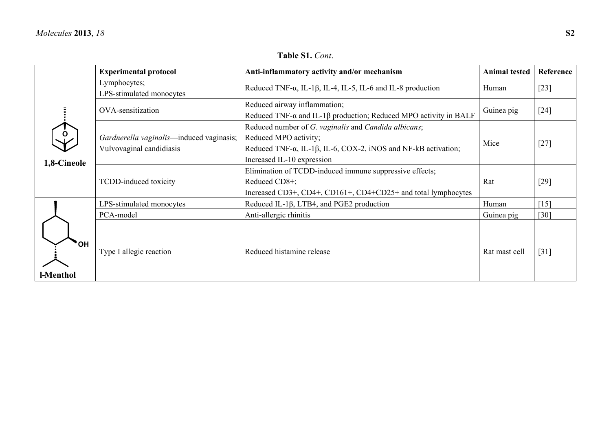|                  | <b>Experimental protocol</b>                                                                                                                                                                                                                                          | Anti-inflammatory activity and/or mechanism<br><b>Animal tested</b>                                                                       |               | Reference          |
|------------------|-----------------------------------------------------------------------------------------------------------------------------------------------------------------------------------------------------------------------------------------------------------------------|-------------------------------------------------------------------------------------------------------------------------------------------|---------------|--------------------|
|                  | Lymphocytes;<br>LPS-stimulated monocytes                                                                                                                                                                                                                              | Reduced TNF- $\alpha$ , IL-1 $\beta$ , IL-4, IL-5, IL-6 and IL-8 production                                                               | Human         | $[23]$             |
| 1,8-Cineole      | OVA-sensitization                                                                                                                                                                                                                                                     | Reduced airway inflammation;<br>Reduced TNF- $\alpha$ and IL-1 $\beta$ production; Reduced MPO activity in BALF                           | Guinea pig    | $[24]$             |
|                  | Reduced number of G. vaginalis and Candida albicans;<br>Gardnerella vaginalis—induced vaginasis;<br>Reduced MPO activity;<br>Vulvovaginal candidiasis<br>Reduced TNF- $\alpha$ , IL-1 $\beta$ , IL-6, COX-2, iNOS and NF-kB activation;<br>Increased IL-10 expression |                                                                                                                                           | Mice          | $[27]$             |
|                  | TCDD-induced toxicity                                                                                                                                                                                                                                                 | Elimination of TCDD-induced immune suppressive effects;<br>Reduced CD8+;<br>Increased CD3+, CD4+, CD161+, CD4+CD25+ and total lymphocytes | Rat           | $[29]$             |
|                  | LPS-stimulated monocytes                                                                                                                                                                                                                                              | Reduced IL-1β, LTB4, and PGE2 production                                                                                                  | Human         | $\lceil 15 \rceil$ |
|                  | PCA-model                                                                                                                                                                                                                                                             | Anti-allergic rhinitis                                                                                                                    | Guinea pig    | [30]               |
| 'OH<br>l-Menthol | Type I allegic reaction                                                                                                                                                                                                                                               | Reduced histamine release                                                                                                                 | Rat mast cell | $\lceil 31 \rceil$ |

**Table S1.** *Cont*.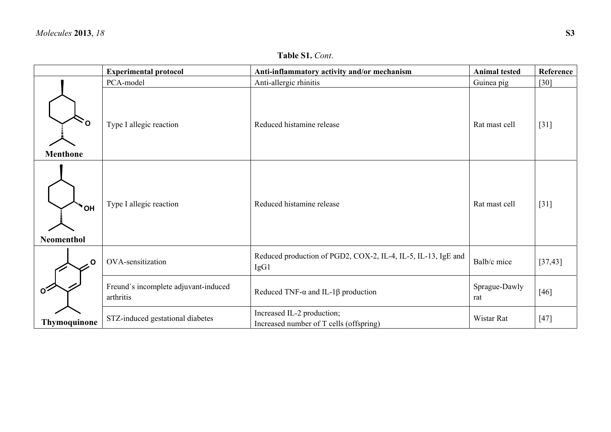|                                         | <b>Experimental protocol</b>                      | Anti-inflammatory activity and/or mechanism                           | <b>Animal tested</b> | Reference |
|-----------------------------------------|---------------------------------------------------|-----------------------------------------------------------------------|----------------------|-----------|
|                                         | PCA-model                                         | Anti-allergic rhinitis                                                | Guinea pig           | $[30]$    |
| $\Omega$<br><b>Menthone</b>             | Type I allegic reaction                           | Reduced histamine release                                             | Rat mast cell        | $[31]$    |
| <sup>'</sup> '' OH<br><b>Neomenthol</b> | Type I allegic reaction                           | Reduced histamine release                                             | Rat mast cell        | $[31]$    |
| . O                                     | OVA-sensitization                                 | Reduced production of PGD2, COX-2, IL-4, IL-5, IL-13, IgE and<br>IgG1 | Balb/c mice          | [37, 43]  |
| $\Omega$                                | Freund's incomplete adjuvant-induced<br>arthritis | Reduced TNF- $\alpha$ and IL-1 $\beta$ production                     | Sprague-Dawly<br>rat | $[46]$    |
| <b>Thymoquinone</b>                     | STZ-induced gestational diabetes                  | Increased IL-2 production;<br>Increased number of T cells (offspring) | Wistar Rat           | $[47]$    |

## **Table S1.** *Cont*.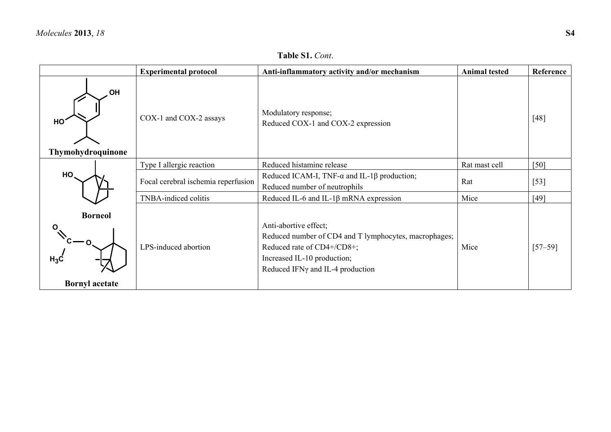## **Table S1.** *Cont*.

|                                                                                                                                     | <b>Experimental protocol</b>        | Anti-inflammatory activity and/or mechanism                                                                                                                                     | <b>Animal tested</b> | Reference   |
|-------------------------------------------------------------------------------------------------------------------------------------|-------------------------------------|---------------------------------------------------------------------------------------------------------------------------------------------------------------------------------|----------------------|-------------|
| .OH<br>Modulatory response;<br>COX-1 and COX-2 assays<br>HO <sup>*</sup><br>Reduced COX-1 and COX-2 expression<br>Thymohydroquinone |                                     |                                                                                                                                                                                 | [48]                 |             |
|                                                                                                                                     | Type I allergic reaction            | Reduced histamine release                                                                                                                                                       | Rat mast cell        | [50]        |
| HO.                                                                                                                                 | Focal cerebral ischemia reperfusion | Reduced ICAM-I, TNF- $\alpha$ and IL-1 $\beta$ production;<br>Reduced number of neutrophils                                                                                     | Rat                  | $[53]$      |
|                                                                                                                                     | TNBA-indiced colitis                | Reduced IL-6 and IL-1 $\beta$ mRNA expression                                                                                                                                   | Mice                 | $[49]$      |
| <b>Borneol</b><br>O<br>$\sqrt{c}-0$<br>$H_3C$                                                                                       | LPS-induced abortion                | Anti-abortive effect;<br>Reduced number of CD4 and T lymphocytes, macrophages;<br>Reduced rate of CD4+/CD8+;<br>Increased IL-10 production;<br>Reduced IFNy and IL-4 production | Mice                 | $[57 - 59]$ |
| <b>Bornyl</b> acetate                                                                                                               |                                     |                                                                                                                                                                                 |                      |             |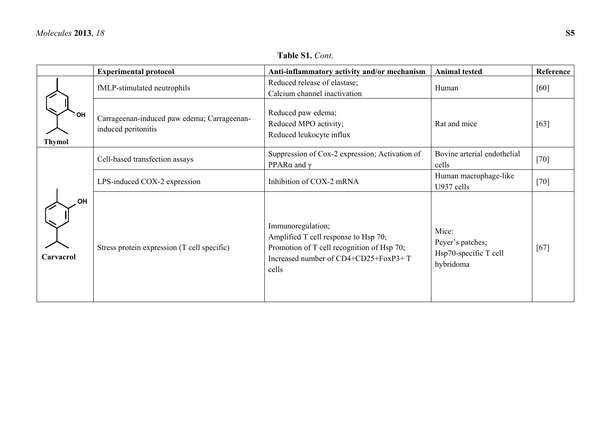|                            | <b>Experimental protocol</b>                                       | Anti-inflammatory activity and/or mechanism                                                                                                              | <b>Animal tested</b>                                            | Reference |
|----------------------------|--------------------------------------------------------------------|----------------------------------------------------------------------------------------------------------------------------------------------------------|-----------------------------------------------------------------|-----------|
|                            | fMLP-stimulated neutrophils                                        | Reduced release of elastase;<br>Calcium channel inactivation                                                                                             | Human                                                           | $[60]$    |
| <b>OH</b><br><b>Thymol</b> | Carrageenan-induced paw edema; Carrageenan-<br>induced peritonitis | Reduced paw edema;<br>Reduced MPO activity;<br>Reduced leukocyte influx                                                                                  | Rat and mice                                                    | [63]      |
|                            | Cell-based transfection assays                                     | Suppression of Cox-2 expression; Activation of<br>PPAR $\alpha$ and $\gamma$                                                                             | Bovine arterial endothelial<br>cells                            | $[70]$    |
|                            | LPS-induced COX-2 expression                                       | Inhibition of COX-2 mRNA                                                                                                                                 | Human macrophage-like<br>U937 cells                             | $[70]$    |
| OH<br>Carvacrol            | Stress protein expression (T cell specific)                        | Immunoregulation;<br>Amplified T cell response to Hsp 70;<br>Promotion of T cell recognition of Hsp 70;<br>Increased number of CD4+CD25+FoxP3+T<br>cells | Mice:<br>Peyer's patches;<br>Hsp70-specific T cell<br>hybridoma | $[67]$    |

**Table S1.** *Cont*.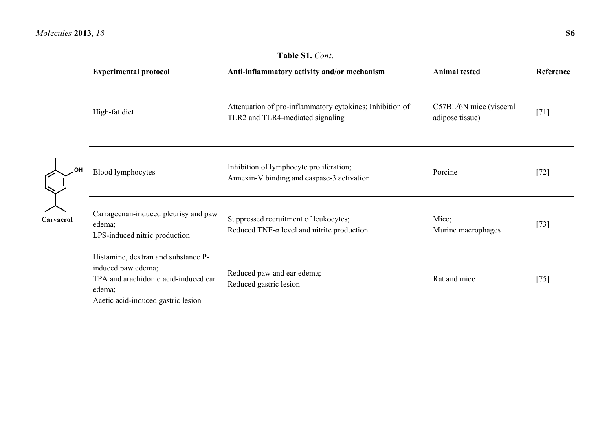|           | <b>Experimental protocol</b>                                                                                                                      | Anti-inflammatory activity and/or mechanism                                                  | <b>Animal tested</b>                       | Reference |
|-----------|---------------------------------------------------------------------------------------------------------------------------------------------------|----------------------------------------------------------------------------------------------|--------------------------------------------|-----------|
|           | High-fat diet                                                                                                                                     | Attenuation of pro-inflammatory cytokines; Inhibition of<br>TLR2 and TLR4-mediated signaling | C57BL/6N mice (visceral<br>adipose tissue) | $[71]$    |
| OH        | <b>Blood lymphocytes</b>                                                                                                                          | Inhibition of lymphocyte proliferation;<br>Annexin-V binding and caspase-3 activation        | Porcine                                    | $[72]$    |
| Carvacrol | Carrageenan-induced pleurisy and paw<br>edema;<br>LPS-induced nitric production                                                                   | Suppressed recruitment of leukocytes;<br>Reduced TNF- $\alpha$ level and nitrite production  | Mice;<br>Murine macrophages                | $[73]$    |
|           | Histamine, dextran and substance P-<br>induced paw edema;<br>TPA and arachidonic acid-induced ear<br>edema;<br>Acetic acid-induced gastric lesion | Reduced paw and ear edema;<br>Reduced gastric lesion                                         | Rat and mice                               | $[75]$    |

**Table S1.** *Cont*.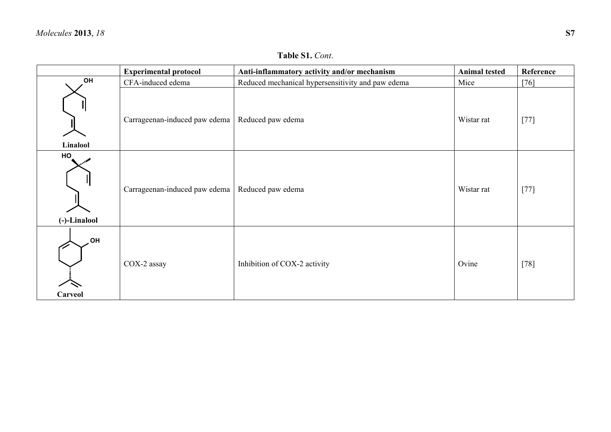|                      | <b>Experimental protocol</b>  | Anti-inflammatory activity and/or mechanism       | <b>Animal tested</b> | Reference |
|----------------------|-------------------------------|---------------------------------------------------|----------------------|-----------|
| OH                   | CFA-induced edema             | Reduced mechanical hypersensitivity and paw edema | Mice                 | [76]      |
| Linalool             | Carrageenan-induced paw edema | Reduced paw edema                                 | Wistar rat           | $[77]$    |
| HO<br>(-)-Linalool   | Carrageenan-induced paw edema | Reduced paw edema                                 | Wistar rat           | $[77]$    |
| <b>HO</b><br>Carveol | COX-2 assay                   | Inhibition of COX-2 activity                      | Ovine                | $[78]$    |

**Table S1.** *Cont*.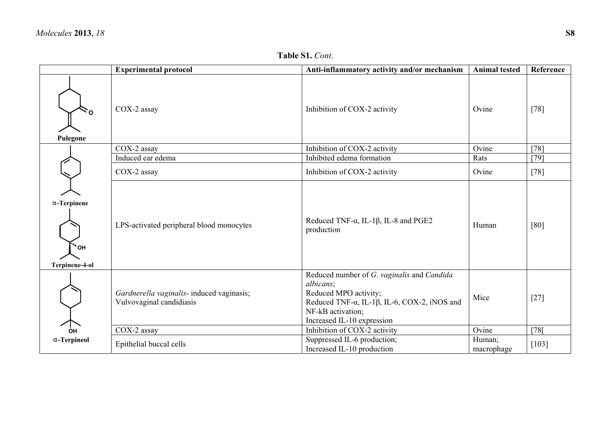| Table S1. Cont. |  |  |
|-----------------|--|--|
|-----------------|--|--|

|                                                | <b>Experimental protocol</b>                                          | Anti-inflammatory activity and/or mechanism                                                                                                                                                         | <b>Animal tested</b> | Reference |
|------------------------------------------------|-----------------------------------------------------------------------|-----------------------------------------------------------------------------------------------------------------------------------------------------------------------------------------------------|----------------------|-----------|
| $\sim_{\mathsf{o}}$<br>Pulegone                | COX-2 assay                                                           | Inhibition of COX-2 activity                                                                                                                                                                        | Ovine                | $[78]$    |
|                                                | COX-2 assay                                                           | Inhibition of COX-2 activity                                                                                                                                                                        | Ovine                | $[78]$    |
|                                                | Induced ear edema                                                     | Inhibited edema formation                                                                                                                                                                           | Rats                 | $[79]$    |
|                                                | COX-2 assay                                                           | Inhibition of COX-2 activity                                                                                                                                                                        | Ovine                | $[78]$    |
| $\alpha$ -Terpinene<br>`" ОН<br>Terpinene-4-ol | LPS-activated peripheral blood monocytes                              | Reduced TNF- $\alpha$ , IL-1 $\beta$ , IL-8 and PGE2<br>production                                                                                                                                  | Human                | [80]      |
|                                                | Gardnerella vaginalis- induced vaginasis;<br>Vulvovaginal candidiasis | Reduced number of G. vaginalis and Candida<br>albicans;<br>Reduced MPO activity;<br>Reduced TNF- $\alpha$ , IL-1 $\beta$ , IL-6, COX-2, iNOS and<br>NF-kB activation;<br>Increased IL-10 expression | Mice                 | $[27]$    |
| OH                                             | COX-2 assay                                                           | Inhibition of COX-2 activity                                                                                                                                                                        | Ovine                | [78]      |
| $\alpha$ -Terpineol                            | Epithelial buccal cells                                               | Suppressed IL-6 production;<br>Increased IL-10 production                                                                                                                                           | Human;<br>macrophage | [103]     |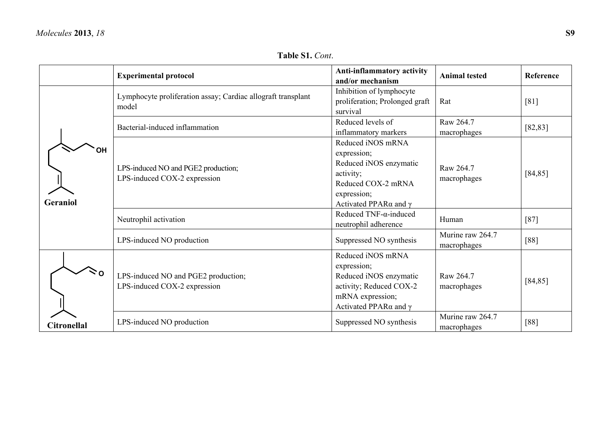**Table S1.** *Cont*.

|                    | <b>Experimental protocol</b>                                          | Anti-inflammatory activity<br>and/or mechanism                                                                                                       | <b>Animal tested</b>            | <b>Reference</b> |
|--------------------|-----------------------------------------------------------------------|------------------------------------------------------------------------------------------------------------------------------------------------------|---------------------------------|------------------|
|                    | Lymphocyte proliferation assay; Cardiac allograft transplant<br>model | Inhibition of lymphocyte<br>proliferation; Prolonged graft<br>survival                                                                               | Rat                             | [81]             |
|                    | Bacterial-induced inflammation                                        | Reduced levels of<br>inflammatory markers                                                                                                            | Raw 264.7<br>macrophages        | [82, 83]         |
| ΟH<br>Geraniol     | LPS-induced NO and PGE2 production;<br>LPS-induced COX-2 expression   | Reduced iNOS mRNA<br>expression;<br>Reduced iNOS enzymatic<br>activity;<br>Reduced COX-2 mRNA<br>expression;<br>Activated PPAR $\alpha$ and $\gamma$ | Raw 264.7<br>macrophages        | [84, 85]         |
|                    | Neutrophil activation                                                 | Reduced TNF- $\alpha$ -induced<br>neutrophil adherence                                                                                               | Human                           | [87]             |
|                    | LPS-induced NO production                                             | Suppressed NO synthesis                                                                                                                              | Murine raw 264.7<br>macrophages | [88]             |
|                    | LPS-induced NO and PGE2 production;<br>LPS-induced COX-2 expression   | Reduced iNOS mRNA<br>expression;<br>Reduced iNOS enzymatic<br>activity; Reduced COX-2<br>mRNA expression;<br>Activated PPAR $\alpha$ and $\gamma$    | Raw 264.7<br>macrophages        | [84, 85]         |
| <b>Citronellal</b> | LPS-induced NO production                                             | Suppressed NO synthesis                                                                                                                              | Murine raw 264.7<br>macrophages | [88]             |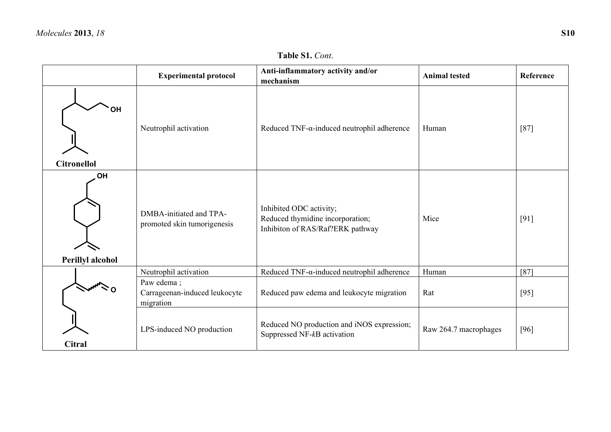**Table S1.** *Cont*.

|                          | <b>Experimental protocol</b>                             | Anti-inflammatory activity and/or<br>mechanism                                                  | <b>Animal tested</b>  | Reference |
|--------------------------|----------------------------------------------------------|-------------------------------------------------------------------------------------------------|-----------------------|-----------|
| ΟH<br><b>Citronellol</b> | Neutrophil activation                                    | Reduced TNF- $\alpha$ -induced neutrophil adherence                                             | Human                 | $[87]$    |
| OH<br>Perillyl alcohol   | DMBA-initiated and TPA-<br>promoted skin tumorigenesis   | Inhibited ODC activity;<br>Reduced thymidine incorporation;<br>Inhibiton of RAS/Raf?ERK pathway | Mice                  | [91]      |
|                          | Neutrophil activation                                    | Reduced TNF- $\alpha$ -induced neutrophil adherence                                             | Human                 | $[87]$    |
|                          | Paw edema;<br>Carrageenan-induced leukocyte<br>migration | Reduced paw edema and leukocyte migration                                                       | Rat                   | $[95]$    |
| Citral                   | LPS-induced NO production                                | Reduced NO production and iNOS expression;<br>Suppressed NF-kB activation                       | Raw 264.7 macrophages | [96]      |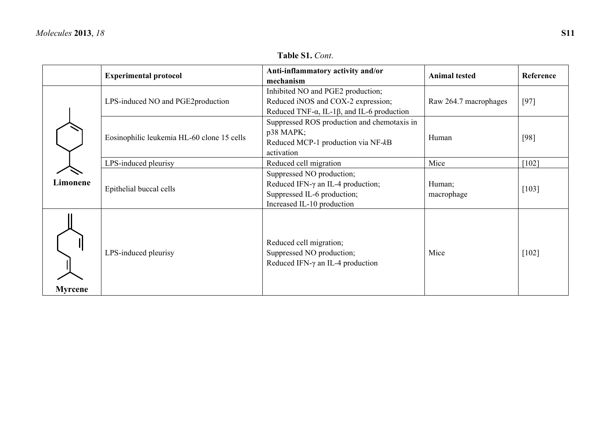| <b>Table S1. Cont.</b> |  |
|------------------------|--|
|------------------------|--|

|          | <b>Experimental protocol</b>               | Anti-inflammatory activity and/or<br>mechanism                                                                                        | <b>Animal tested</b>  | Reference |
|----------|--------------------------------------------|---------------------------------------------------------------------------------------------------------------------------------------|-----------------------|-----------|
|          | LPS-induced NO and PGE2production          | Inhibited NO and PGE2 production;<br>Reduced iNOS and COX-2 expression;<br>Reduced TNF- $\alpha$ , IL-1 $\beta$ , and IL-6 production | Raw 264.7 macrophages | $[97]$    |
|          | Eosinophilic leukemia HL-60 clone 15 cells | Suppressed ROS production and chemotaxis in<br>$p38$ MAPK;<br>Reduced MCP-1 production via NF-kB<br>activation                        | Human                 | [98]      |
| Limonene | LPS-induced pleurisy                       | Reduced cell migration                                                                                                                | Mice                  | $[102]$   |
|          | Epithelial buccal cells                    | Suppressed NO production;<br>Reduced IFN- $\gamma$ an IL-4 production;<br>Suppressed IL-6 production;<br>Increased IL-10 production   | Human;<br>macrophage  | [103]     |
| Myrcene  | LPS-induced pleurisy                       | Reduced cell migration;<br>Suppressed NO production;<br>Reduced IFN- $\gamma$ an IL-4 production                                      | Mice                  | $[102]$   |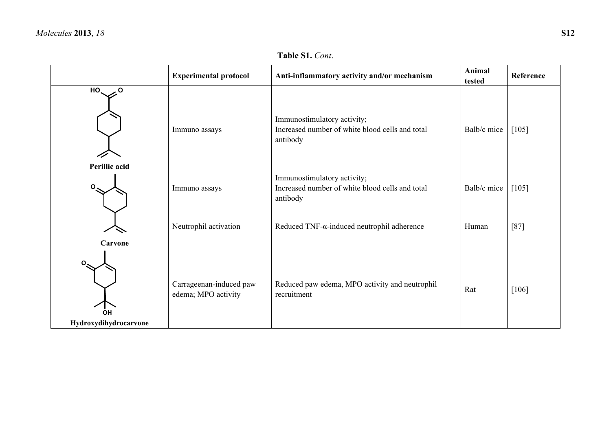## **Table S1.** *Cont*.

|                                    | <b>Experimental protocol</b>                   | Anti-inflammatory activity and/or mechanism                                                | Animal<br>tested | Reference |
|------------------------------------|------------------------------------------------|--------------------------------------------------------------------------------------------|------------------|-----------|
| HO.<br>ہ ۔<br>Perillic acid        | Immuno assays                                  | Immunostimulatory activity;<br>Increased number of white blood cells and total<br>antibody | Balb/c mice      | $[105]$   |
| Ο                                  | Immuno assays                                  | Immunostimulatory activity;<br>Increased number of white blood cells and total<br>antibody | Balb/c mice      | $[105]$   |
| Carvone                            | Neutrophil activation                          | Reduced TNF- $\alpha$ -induced neutrophil adherence                                        | Human            | $[87]$    |
| <b>OH</b><br>Hydroxydihydrocarvone | Carrageenan-induced paw<br>edema; MPO activity | Reduced paw edema, MPO activity and neutrophil<br>recruitment                              | Rat              | $[106]$   |